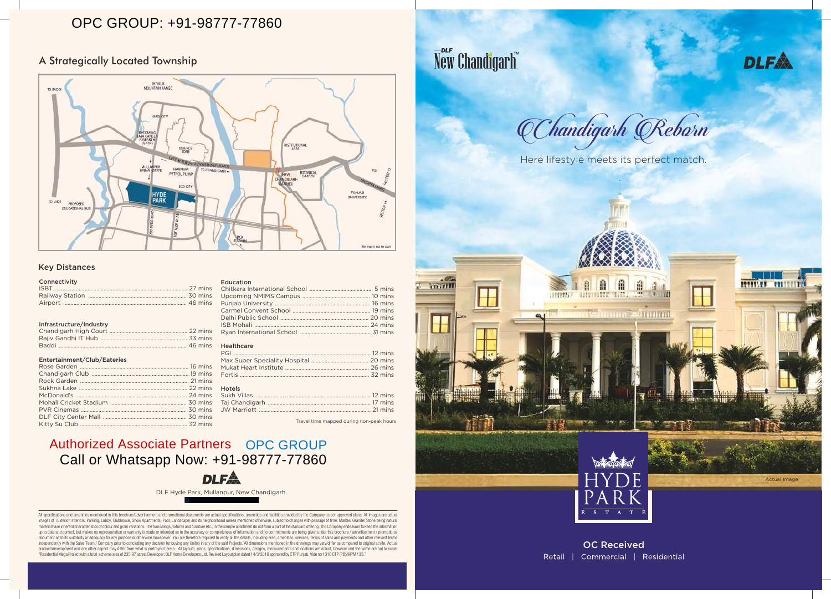## A Strategically Located Township

OC Received Retail | Commercial | Residential

## Key Distances

### **Connectivity**

Actual Image

All specifications and amenities mentioned in this brochure/advertisement and promotional documents are actual specifications, amenities and facilities provided by the Company as per approved plans. All images are actual images of (Exterior, Interiors, Parking, Lobby, Clubhouse, Show Apartments, Pool, Landscape) and its neighborhood unless mentioned otherwise, subject to changes with passage of time. Marble/ Granite/ Stone being natural material have inherent characteristics of colour and grain variations. The furnishings, fixtures and furniture etc., in the sample apartment do not form a part of the standard offering. The Company endeavors to keep the in up to date and correct, but makes no representation or warranty is made or intended as to the accuracy or completeness of information and no commitments are being given under this brochure / advertisement / promotional document as to its suitability or adequacy for any purpose or otherwise howsoever. You are therefore required to verify all the details, including area, amenities, services, terms of sales and payments and other relevant t independently with the Sales Team / Company prior to concluding any decision for buying any Unit(s) in any of the said Projects. All dimensions mentioned in the drawings may vary/differ as compared to original at site. Act product/development and any other aspect may differ from what is portrayed herein. All layouts, plans, specifications, dimensions, designs, measurements and locations are actual, however and the same are not to scale. "Residential Mega Project with a total scheme area of 235.97 acres. Developer: DLF Home Developers Ltd. Revised Layout plan dated 14/3/2016 approved by CTP Punjab. Vide no 1310 CTP (PB)/MPM 133."

# New Chandigarh



|                         | Г | <b>TITTE</b> |                             |
|-------------------------|---|--------------|-----------------------------|
| $\overline{\mathsf{H}}$ |   |              |                             |
|                         |   |              |                             |
|                         |   |              |                             |
|                         |   |              |                             |
|                         |   |              | $\bar{E}$<br>$\overline{s}$ |



DLF Hyde Park, Mullanpur, New Chandigarh.

### Education

### Healthcare

| <b>Hotels</b> |  |
|---------------|--|
|               |  |
|               |  |
|               |  |
|               |  |

Travel time mapped during non-peak hours

### Infrastructure/Industry

### Entertainment/Club/Eateries

# Authorized Associate Partners OPC GROUP



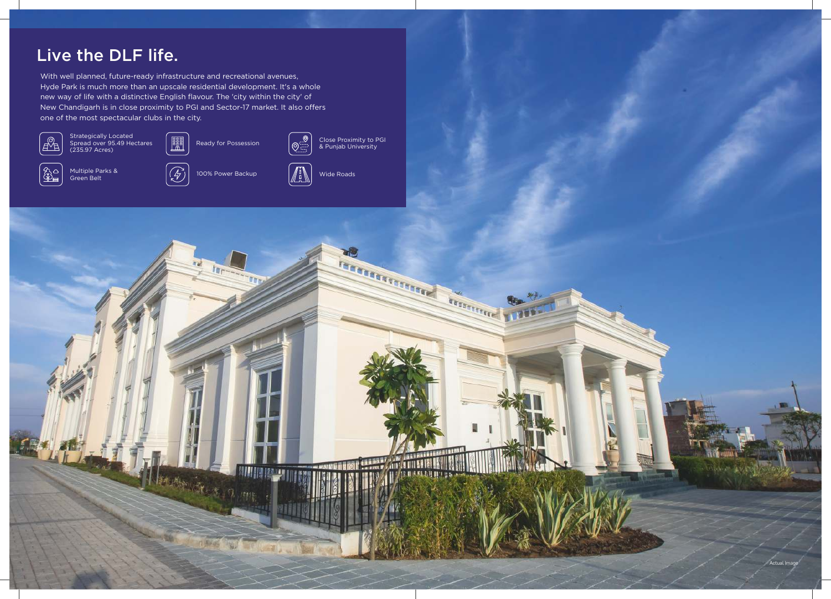











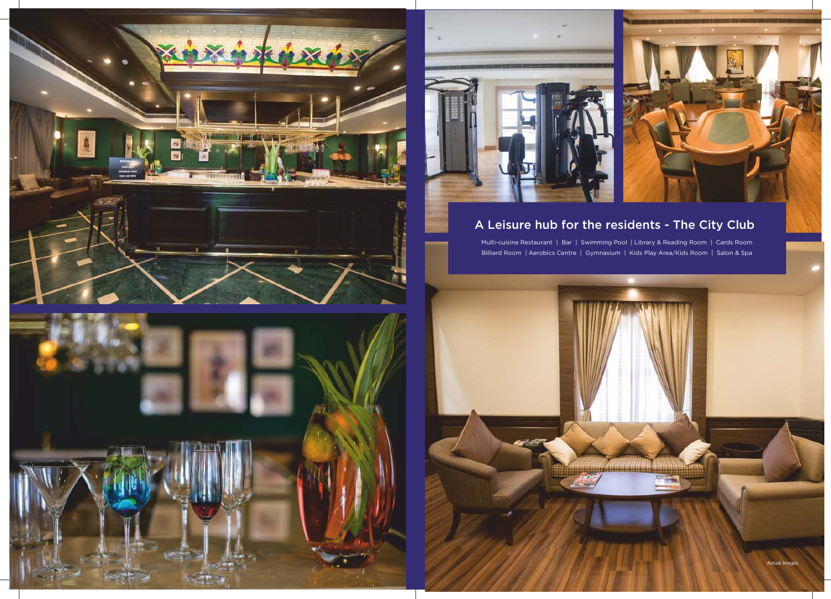



# A Leisure hub for the residents - The City Club

Multi-cuisine Restaurant | Bar | Swimming Pool | Library & Reading Room | Cards Room Billiard Room | Aerobics Centre | Gymnasium | Kids Play Area/Kids Room | Salon & Spa



Actual Images